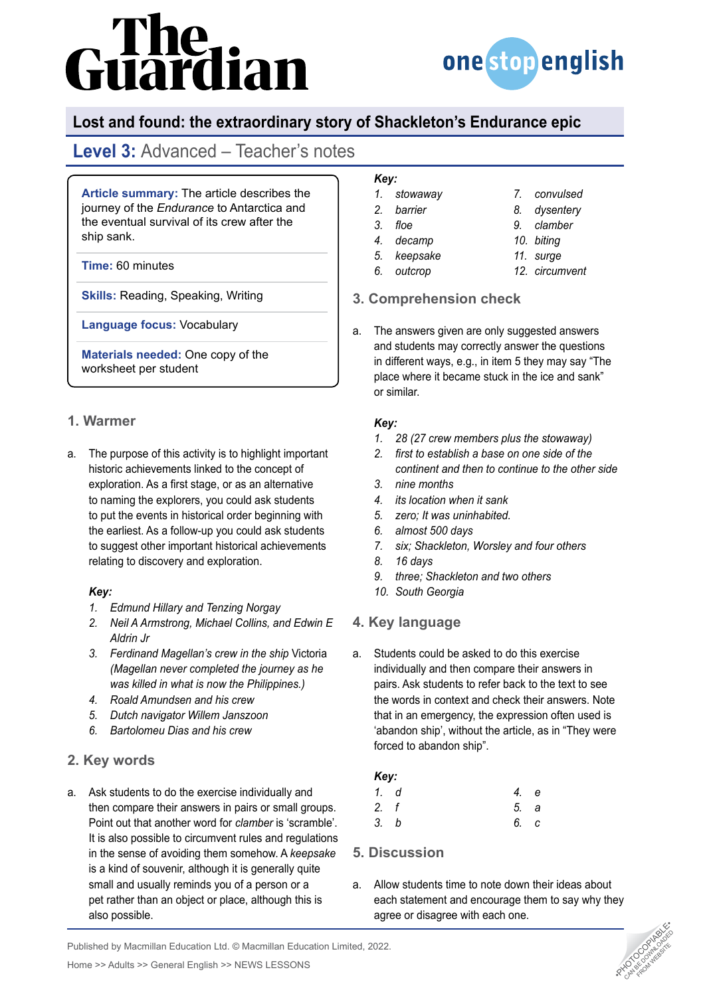# The<br>uardian



## **Lost and found: the extraordinary story of Shackleton's Endurance epic**

# **Level 3:** Advanced – Teacher's notes

**Article summary:** The article describes the journey of the *Endurance* to Antarctica and the eventual survival of its crew after the ship sank.

**Time:** 60 minutes

**Skills:** Reading, Speaking, Writing

**Language focus:** Vocabulary

**Materials needed:** One copy of the worksheet per student

### **1. Warmer**

a. The purpose of this activity is to highlight important historic achievements linked to the concept of exploration. As a first stage, or as an alternative to naming the explorers, you could ask students to put the events in historical order beginning with the earliest. As a follow-up you could ask students to suggest other important historical achievements relating to discovery and exploration.

### *Key:*

- *1. Edmund Hillary and Tenzing Norgay*
- *2. Neil A Armstrong, Michael Collins, and Edwin E Aldrin Jr*
- *3. Ferdinand Magellan's crew in the ship* Victoria *(Magellan never completed the journey as he was killed in what is now the Philippines.)*
- *4. Roald Amundsen and his crew*
- *5. Dutch navigator Willem Janszoon*
- *6. Bartolomeu Dias and his crew*

### **2. Key words**

a. Ask students to do the exercise individually and then compare their answers in pairs or small groups. Point out that another word for *clamber* is 'scramble'. It is also possible to circumvent rules and regulations in the sense of avoiding them somehow. A *keepsake* is a kind of souvenir, although it is generally quite small and usually reminds you of a person or a pet rather than an object or place, although this is also possible.

### *Key:*

- *1. stowaway*
- *2. barrier 3. floe*
- *4. decamp*
- *5. keepsake*
- *6. outcrop*
- *9. clamber 10. biting*

*7. convulsed 8. dysentery*

- *11. surge*
- *12. circumvent*

### **3. Comprehension check**

a. The answers given are only suggested answers and students may correctly answer the questions in different ways, e.g., in item 5 they may say "The place where it became stuck in the ice and sank" or similar.

### *Key:*

- *1. 28 (27 crew members plus the stowaway)*
- *2. first to establish a base on one side of the continent and then to continue to the other side*
- *3. nine months*
- *4. its location when it sank*
- *5. zero; It was uninhabited.*
- *6. almost 500 days*
- *7. six; Shackleton, Worsley and four others*
- *8. 16 days*
- *9. three; Shackleton and two others*
- *10. South Georgia*

### **4. Key language**

a. Students could be asked to do this exercise individually and then compare their answers in pairs. Ask students to refer back to the text to see the words in context and check their answers. Note that in an emergency, the expression often used is 'abandon ship', without the article, as in "They were forced to abandon ship".

### *Key:*

| 1. d | 4. e |  |
|------|------|--|
| 2. f | 5. a |  |
| 3. b | 6. c |  |

### **5. Discussion**

a. Allow students time to note down their ideas about each statement and encourage them to say why they agree or disagree with each one.



Published by Macmillan Education Ltd. © Macmillan Education Limited, 2022.